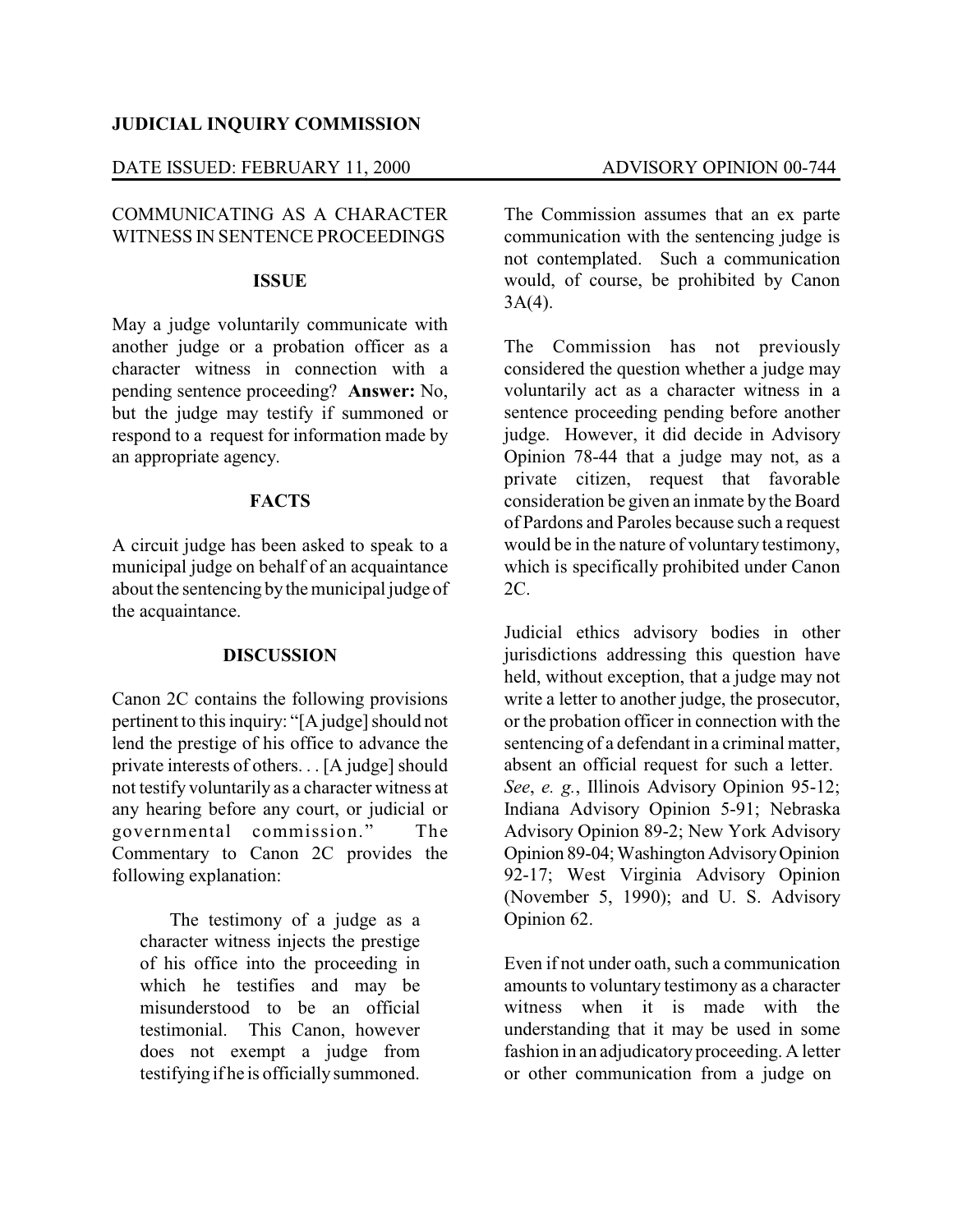## **JUDICIAL INQUIRY COMMISSION**

## DATE ISSUED: FEBRUARY 11, 2000 ADVISORY OPINION 00-744

# COMMUNICATING AS A CHARACTER WITNESS IN SENTENCE PROCEEDINGS

#### **ISSUE**

May a judge voluntarily communicate with another judge or a probation officer as a character witness in connection with a pending sentence proceeding? **Answer:** No, but the judge may testify if summoned or respond to a request for information made by an appropriate agency.

## **FACTS**

A circuit judge has been asked to speak to a municipal judge on behalf of an acquaintance about the sentencing bythe municipal judge of the acquaintance.

### **DISCUSSION**

Canon 2C contains the following provisions pertinent to this inquiry: "[A judge] should not lend the prestige of his office to advance the private interests of others. . . [A judge] should not testify voluntarily as a character witness at any hearing before any court, or judicial or governmental commission." The Commentary to Canon 2C provides the following explanation:

The testimony of a judge as a character witness injects the prestige of his office into the proceeding in which he testifies and may be misunderstood to be an official testimonial. This Canon, however does not exempt a judge from testifying if he is officially summoned.

The Commission assumes that an ex parte communication with the sentencing judge is not contemplated. Such a communication would, of course, be prohibited by Canon  $3A(4)$ .

The Commission has not previously considered the question whether a judge may voluntarily act as a character witness in a sentence proceeding pending before another judge. However, it did decide in Advisory Opinion 78-44 that a judge may not, as a private citizen, request that favorable consideration be given an inmate by the Board of Pardons and Paroles because such a request would be in the nature of voluntary testimony, which is specifically prohibited under Canon 2C.

Judicial ethics advisory bodies in other jurisdictions addressing this question have held, without exception, that a judge may not write a letter to another judge, the prosecutor, or the probation officer in connection with the sentencing of a defendant in a criminal matter, absent an official request for such a letter. *See*, *e. g.*, Illinois Advisory Opinion 95-12; Indiana Advisory Opinion 5-91; Nebraska Advisory Opinion 89-2; New York Advisory Opinion 89-04; Washington Advisory Opinion 92-17; West Virginia Advisory Opinion (November 5, 1990); and U. S. Advisory Opinion 62.

Even if not under oath, such a communication amounts to voluntary testimony as a character witness when it is made with the understanding that it may be used in some fashion in an adjudicatory proceeding. A letter or other communication from a judge on